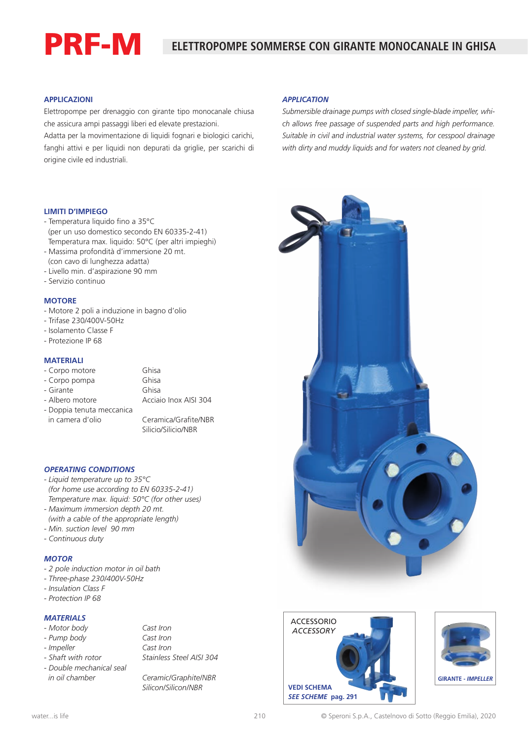# PRF-M

## **ELETTROPOMPE SOMMERSE CON GIRANTE MONOCANALE IN GHISA**

#### **APPLICAZIONI**

Elettropompe per drenaggio con girante tipo monocanale chiusa che assicura ampi passaggi liberi ed elevate prestazioni.

Adatta per la movimentazione di liquidi fognari e biologici carichi, fanghi attivi e per liquidi non depurati da griglie, per scarichi di origine civile ed industriali.

#### *APPLICATION*

*Submersible drainage pumps with closed single-blade impeller, which allows free passage of suspended parts and high performance. Suitable in civil and industrial water systems, for cesspool drainage with dirty and muddy liquids and for waters not cleaned by grid.*



- Temperatura liquido fino a 35°C (per un uso domestico secondo EN 60335-2-41) Temperatura max. liquido: 50°C (per altri impieghi)
- Massima profondità d'immersione 20 mt.
- (con cavo di lunghezza adatta)
- Livello min. d'aspirazione 90 mm
- Servizio continuo

#### **MOTORE**

- Motore 2 poli a induzione in bagno d'olio
- Trifase 230/400V-50Hz
- Isolamento Classe F
- Protezione IP 68

#### **MATERIALI**

- Corpo motore Ghisa
- Corpo pompa Ghisa
- Girante Ghisa

- Albero motore **Acciaio Inox AISI 304**
- Doppia tenuta meccanica in camera d'olio Ceramica/Grafite/NBR

Silicio/Silicio/NBR

### *OPERATING CONDITIONS*

- *Liquid temperature up to 35°C (for home use according to EN 60335-2-41) Temperature max. liquid: 50°C (for other uses)*
- *Maximum immersion depth 20 mt. (with a cable of the appropriate length)*
- *Min. suction level 90 mm*
- *Continuous duty*

#### *MOTOR*

- *2 pole induction motor in oil bath*
- *Three-phase 230/400V-50Hz*
- *Insulation Class F*
- *Protection IP 68*

#### *MATERIALS*

- *Motor body Cast Iron*
- *Pump body Cast Iron*
- *Impeller Cast Iron*
- 
- *Double mechanical seal in oil chamber Ceramic/Graphite/NBR*

*- Shaft with rotor Stainless Steel AISI 304*

*Silicon/Silicon/NBR*